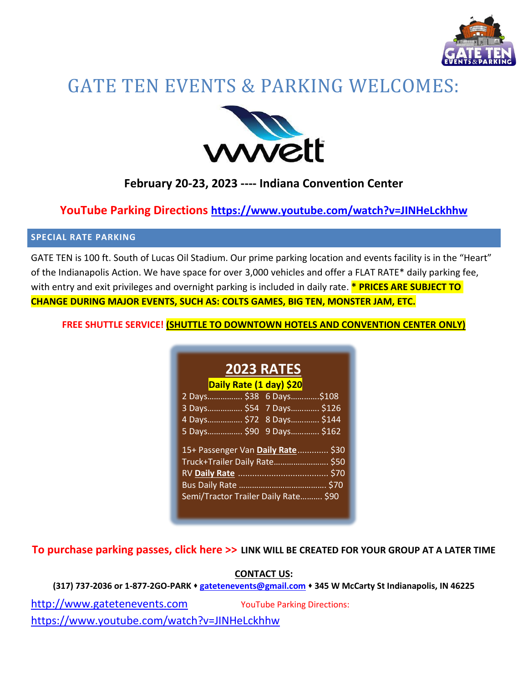

# GATE TEN EVENTS & PARKING WELCOMES:



# **February 20-23, 2023 ---- Indiana Convention Center**

## **YouTube Parking Directions <https://www.youtube.com/watch?v=JINHeLckhhw>**

## **SPECIAL RATE PARKING**

GATE TEN is 100 ft. South of Lucas Oil Stadium. Our prime parking location and events facility is in the "Heart" of the Indianapolis Action. We have space for over 3,000 vehicles and offer a FLAT RATE\* daily parking fee, with entry and exit privileges and overnight parking is included in daily rate. **\* PRICES ARE SUBJECT TO CHANGE DURING MAJOR EVENTS, SUCH AS: COLTS GAMES, BIG TEN, MONSTER JAM, ETC.**

**FREE SHUTTLE SERVICE! (SHUTTLE TO DOWNTOWN HOTELS AND CONVENTION CENTER ONLY)**

| <b>2023 RATES</b>                    |
|--------------------------------------|
| Daily Rate (1 day) \$20              |
| 2 Days \$38 6 Days<br>.\$108         |
| 3 Days \$54 7 Days \$126             |
| 4 Days \$72 8 Days \$144             |
| 5 Days \$90 9 Days \$162             |
| 15+ Passenger Van Daily Rate \$30    |
| Truck+Trailer Daily Rate \$50        |
|                                      |
| \$70                                 |
| Semi/Tractor Trailer Daily Rate \$90 |
|                                      |

**To purchase parking passes, click here >> LINK WILL BE CREATED FOR YOUR GROUP AT A LATER TIME** 

### **CONTACT US:**

**(317) 737-2036 or 1-877-2GO-PARK** ⬧ **[gatetenevents@gmail.com](mailto:gatetenevents@gmail.com)** ⬧ **345 W McCarty St Indianapolis, IN 46225**

[http://www.gatetenevents.com](http://www.gatetenevents.com/) YouTube Parking Directions:

<https://www.youtube.com/watch?v=JINHeLckhhw>